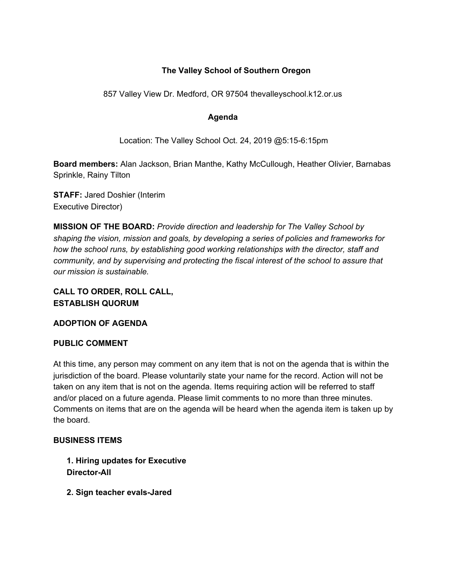## **The Valley School of Southern Oregon**

857 Valley View Dr. Medford, OR 97504 thevalleyschool.k12.or.us

#### **Agenda**

Location: The Valley School Oct. 24, 2019 @5:15-6:15pm

**Board members:** Alan Jackson, Brian Manthe, Kathy McCullough, Heather Olivier, Barnabas Sprinkle, Rainy Tilton

**STAFF:** Jared Doshier (Interim Executive Director)

**MISSION OF THE BOARD:** *Provide direction and leadership for The Valley School by shaping the vision, mission and goals, by developing a series of policies and frameworks for how the school runs, by establishing good working relationships with the director, staff and community, and by supervising and protecting the fiscal interest of the school to assure that our mission is sustainable.*

# **CALL TO ORDER, ROLL CALL, ESTABLISH QUORUM**

## **ADOPTION OF AGENDA**

## **PUBLIC COMMENT**

At this time, any person may comment on any item that is not on the agenda that is within the jurisdiction of the board. Please voluntarily state your name for the record. Action will not be taken on any item that is not on the agenda. Items requiring action will be referred to staff and/or placed on a future agenda. Please limit comments to no more than three minutes. Comments on items that are on the agenda will be heard when the agenda item is taken up by the board.

## **BUSINESS ITEMS**

**1. Hiring updates for Executive Director-All**

**2. Sign teacher evals-Jared**